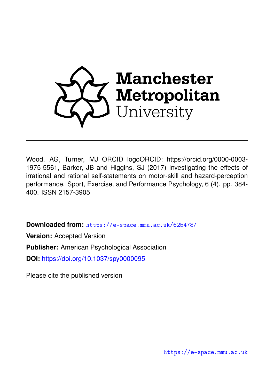

Wood, AG, Turner, MJ ORCID logoORCID: https://orcid.org/0000-0003- 1975-5561, Barker, JB and Higgins, SJ (2017) Investigating the effects of irrational and rational self-statements on motor-skill and hazard-perception performance. Sport, Exercise, and Performance Psychology, 6 (4). pp. 384- 400. ISSN 2157-3905

**Downloaded from:** <https://e-space.mmu.ac.uk/625478/>

**Version:** Accepted Version

**Publisher:** American Psychological Association

**DOI:** <https://doi.org/10.1037/spy0000095>

Please cite the published version

<https://e-space.mmu.ac.uk>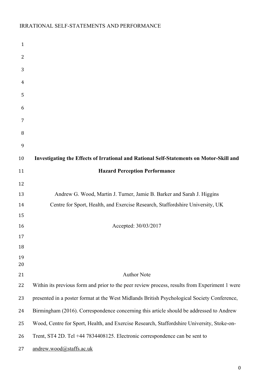| $\mathbf{1}$ |                                                                                               |
|--------------|-----------------------------------------------------------------------------------------------|
| 2            |                                                                                               |
| 3            |                                                                                               |
| 4            |                                                                                               |
| 5            |                                                                                               |
| 6            |                                                                                               |
| 7            |                                                                                               |
| 8            |                                                                                               |
| 9            |                                                                                               |
| 10           | Investigating the Effects of Irrational and Rational Self-Statements on Motor-Skill and       |
| 11           | <b>Hazard Perception Performance</b>                                                          |
| 12           |                                                                                               |
| 13           | Andrew G. Wood, Martin J. Turner, Jamie B. Barker and Sarah J. Higgins                        |
| 14           | Centre for Sport, Health, and Exercise Research, Staffordshire University, UK                 |
| 15           |                                                                                               |
| 16           | Accepted: 30/03/2017                                                                          |
| 17           |                                                                                               |
| 18           |                                                                                               |
| 19           |                                                                                               |
| 20           |                                                                                               |
| 21           | <b>Author Note</b>                                                                            |
| 22           | Within its previous form and prior to the peer review process, results from Experiment 1 were |
| 23           | presented in a poster format at the West Midlands British Psychological Society Conference,   |
| 24           | Birmingham (2016). Correspondence concerning this article should be addressed to Andrew       |
| 25           | Wood, Centre for Sport, Health, and Exercise Research, Staffordshire University, Stoke-on-    |
| 26           | Trent, ST4 2D. Tel +44 7834408125. Electronic correspondence can be sent to                   |
| 27           | andrew.wood@staffs.ac.uk                                                                      |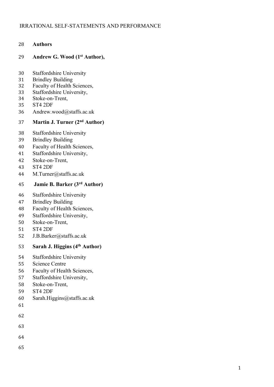### **Authors**

### **Andrew G. Wood (1st Author),**

- Staffordshire University
- Brindley Building
- Faculty of Health Sciences,
- Staffordshire University,
- Stoke-on-Trent,
- ST4 2DF
- Andrew.wood@staffs.ac.uk

# **37 Martin J. Turner (2<sup>nd</sup> Author)**

- Staffordshire University
- Brindley Building
- Faculty of Health Sciences,
- Staffordshire University,
- Stoke-on-Trent,
- ST4 2DF
- M.Turner@staffs.ac.uk

### **Jamie B. Barker (3 rd Author)**

- Staffordshire University
- Brindley Building
- Faculty of Health Sciences,
- Staffordshire University,
- Stoke-on-Trent,
- ST4 2DF
- J.B.Barker@staffs.ac.uk

## **Sarah J. Higgins (4<sup>th</sup> Author)**

- Staffordshire University
- Science Centre
- Faculty of Health Sciences,
- Staffordshire University,
- Stoke-on-Trent,
- ST4 2DF
- Sarah.Higgins@staffs.ac.uk
- 
- 
- 
- 
- 
-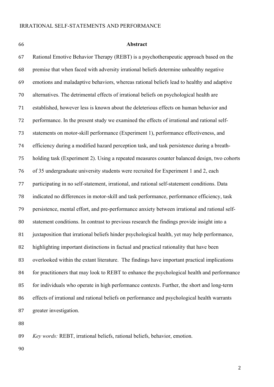#### **Abstract**

 Rational Emotive Behavior Therapy (REBT) is a psychotherapeutic approach based on the premise that when faced with adversity irrational beliefs determine unhealthy negative emotions and maladaptive behaviors, whereas rational beliefs lead to healthy and adaptive alternatives. The detrimental effects of irrational beliefs on psychological health are established, however less is known about the deleterious effects on human behavior and performance. In the present study we examined the effects of irrational and rational self- statements on motor-skill performance (Experiment 1), performance effectiveness, and efficiency during a modified hazard perception task, and task persistence during a breath- holding task (Experiment 2). Using a repeated measures counter balanced design, two cohorts of 35 undergraduate university students were recruited for Experiment 1 and 2, each participating in no self-statement, irrational, and rational self-statement conditions. Data indicated no differences in motor-skill and task performance, performance efficiency, task persistence, mental effort, and pre-performance anxiety between irrational and rational self- statement conditions. In contrast to previous research the findings provide insight into a 81 juxtaposition that irrational beliefs hinder psychological health, yet may help performance, highlighting important distinctions in factual and practical rationality that have been overlooked within the extant literature. The findings have important practical implications 84 for practitioners that may look to REBT to enhance the psychological health and performance for individuals who operate in high performance contexts. Further, the short and long-term effects of irrational and rational beliefs on performance and psychological health warrants greater investigation.

*Key words:* REBT, irrational beliefs, rational beliefs, behavior, emotion.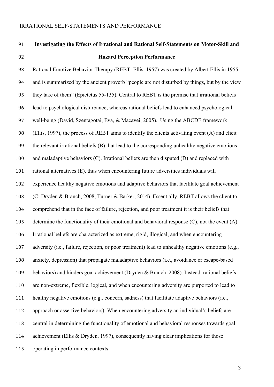# **Investigating the Effects of Irrational and Rational Self-Statements on Motor-Skill and**

# **Hazard Perception Performance**

 Rational Emotive Behavior Therapy (REBT; Ellis, 1957) was created by Albert Ellis in 1955 and is summarized by the ancient proverb "people are not disturbed by things, but by the view they take of them" (Epictetus 55-135). Central to REBT is the premise that irrational beliefs lead to psychological disturbance, whereas rational beliefs lead to enhanced psychological well-being (David, Szentagotai, Eva, & Macavei, 2005). Using the ABCDE framework (Ellis, 1997), the process of REBT aims to identify the clients activating event (A) and elicit the relevant irrational beliefs (B) that lead to the corresponding unhealthy negative emotions and maladaptive behaviors (C). Irrational beliefs are then disputed (D) and replaced with rational alternatives (E), thus when encountering future adversities individuals will experience healthy negative emotions and adaptive behaviors that facilitate goal achievement (C; Dryden & Branch, 2008, Turner & Barker, 2014). Essentially, REBT allows the client to comprehend that in the face of failure, rejection, and poor treatment it is their beliefs that determine the functionality of their emotional and behavioral response (C), not the event (A). Irrational beliefs are characterized as extreme, rigid, illogical, and when encountering adversity (i.e., failure, rejection, or poor treatment) lead to unhealthy negative emotions (e.g., anxiety, depression) that propagate maladaptive behaviors (i.e., avoidance or escape-based behaviors) and hinders goal achievement (Dryden & Branch, 2008). Instead, rational beliefs are non-extreme, flexible, logical, and when encountering adversity are purported to lead to healthy negative emotions (e.g., concern, sadness) that facilitate adaptive behaviors (i.e., approach or assertive behaviors). When encountering adversity an individual's beliefs are central in determining the functionality of emotional and behavioral responses towards goal 114 achievement (Ellis & Dryden, 1997), consequently having clear implications for those operating in performance contexts.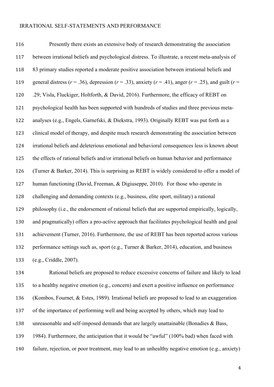Presently there exists an extensive body of research demonstrating the association between irrational beliefs and psychological distress. To illustrate, a recent meta-analysis of 83 primary studies reported a moderate positive association between irrational beliefs and general distress (*r* = .36), depression (*r* = .33), anxiety (*r* = .41), anger (*r* = .25), and guilt (*r* = .29; Visla, Fluckiger, Holtforth, & David, 2016). Furthermore, the efficacy of REBT on psychological health has been supported with hundreds of studies and three previous meta- analyses (e.g., Engels, Garnefski, & Diekstra, 1993). Originally REBT was put forth as a clinical model of therapy, and despite much research demonstrating the association between irrational beliefs and deleterious emotional and behavioral consequences less is known about the effects of rational beliefs and/or irrational beliefs on human behavior and performance (Turner & Barker, 2014). This is surprising as REBT is widely considered to offer a model of human functioning (David, Freeman, & Digiuseppe, 2010). For those who operate in challenging and demanding contexts (e.g., business, elite sport, military) a rational philosophy (i.e., the endorsement of rational beliefs that are supported empirically, logically, and pragmatically) offers a pro-active approach that facilitates psychological health and goal achievement (Turner, 2016). Furthermore, the use of REBT has been reported across various 132 performance settings such as, sport (e.g., Turner & Barker, 2014), education, and business (e.g., Criddle, 2007).

 Rational beliefs are proposed to reduce excessive concerns of failure and likely to lead to a healthy negative emotion (e.g., concern) and exert a positive influence on performance (Kombos, Fournet, & Estes, 1989). Irrational beliefs are proposed to lead to an exaggeration of the importance of performing well and being accepted by others, which may lead to unreasonable and self-imposed demands that are largely unattainable (Bonadies & Bass, 1984). Furthermore, the anticipation that it would be "awful" (100% bad) when faced with failure, rejection, or poor treatment, may lead to an unhealthy negative emotion (e.g., anxiety)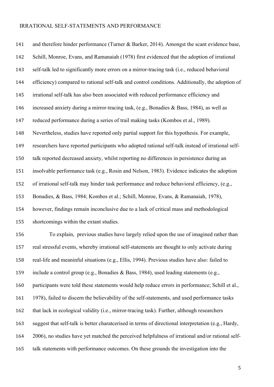141 and therefore hinder performance (Turner & Barker, 2014). Amongst the scant evidence base, Schill, Monroe, Evans, and Ramanaiah (1978) first evidenced that the adoption of irrational self-talk led to significantly more errors on a mirror-tracing task (i.e., reduced behavioral efficiency) compared to rational self-talk and control conditions. Additionally, the adoption of irrational self-talk has also been associated with reduced performance efficiency and increased anxiety during a mirror-tracing task, (e.g., Bonadies & Bass, 1984), as well as reduced performance during a series of trail making tasks (Kombos et al., 1989). Nevertheless, studies have reported only partial support for this hypothesis. For example, researchers have reported participants who adopted rational self-talk instead of irrational self- talk reported decreased anxiety, whilst reporting no differences in persistence during an insolvable performance task (e.g., Rosin and Nelson, 1983). Evidence indicates the adoption of irrational self-talk may hinder task performance and reduce behavioral efficiency, (e.g., Bonadies, & Bass, 1984; Kombos et al.; Schill, Monroe, Evans, & Ramanaiah, 1978), however, findings remain inconclusive due to a lack of critical mass and methodological shortcomings within the extant studies.

 To explain, previous studies have largely relied upon the use of imagined rather than real stressful events, whereby irrational self-statements are thought to only activate during real-life and meaninful situations (e.g., Ellis, 1994). Previous studies have also: failed to include a control group (e.g., Bonadies & Bass, 1984), used leading statements (e.g., participants were told these statements would help reduce errors in performance; Schill et al., 1978), failed to discern the believability of the self-statements, and used performance tasks 162 that lack in ecological validity (i.e., mirror-tracing task). Further, although researchers suggest that self-talk is better charatcerised in terms of directional interpretation (e.g., Hardy, 2006), no studies have yet matched the perceived helpfulness of irrational and/or rational self-talk statements with performance outcomes. On these grounds the investigation into the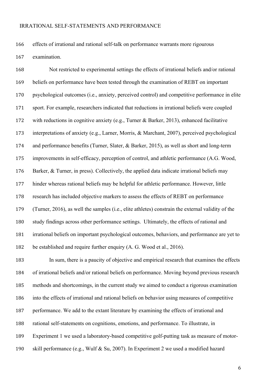effects of irrational and rational self-talk on performance warrants more rigourous

examination.

 Not restricted to experimental settings the effects of irrational beliefs and/or rational beliefs on performance have been tested through the examination of REBT on important psychological outcomes (i.e., anxiety, perceived control) and competitive performance in elite sport. For example, researchers indicated that reductions in irrational beliefs were coupled with reductions in cognitive anxiety (e.g., Turner & Barker, 2013), enhanced facilitative interpretations of anxiety (e.g., Larner, Morris, & Marchant, 2007), perceived psychological and performance benefits (Turner, Slater, & Barker, 2015), as well as short and long-term improvements in self-efficacy, perception of control, and athletic performance (A.G. Wood, Barker, & Turner, in press). Collectively, the applied data indicate irrational beliefs may hinder whereas rational beliefs may be helpful for athletic performance. However, little research has included objective markers to assess the effects of REBT on performance (Turner, 2016), as well the samples (i.e., elite athletes) constrain the external validity of the study findings across other performance settings. Ultimately, the effects of rational and irrational beliefs on important psychological outcomes, behaviors, and performance are yet to be established and require further enquiry (A. G. Wood et al., 2016).

 In sum, there is a paucity of objective and empirical research that examines the effects of irrational beliefs and/or rational beliefs on performance. Moving beyond previous research methods and shortcomings, in the current study we aimed to conduct a rigorous examination into the effects of irrational and rational beliefs on behavior using measures of competitive performance. We add to the extant literature by examining the effects of irrational and rational self-statements on cognitions, emotions, and performance. To illustrate, in Experiment 1 we used a laboratory-based competitive golf-putting task as measure of motor-skill performance (e.g., Wulf & Su, 2007). In Experiment 2 we used a modified hazard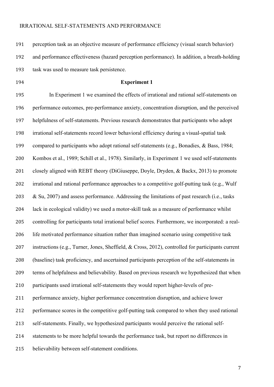perception task as an objective measure of performance efficiency (visual search behavior) and performance effectiveness (hazard perception performance). In addition, a breath-holding task was used to measure task persistence.

#### **Experiment 1**

 In Experiment 1 we examined the effects of irrational and rational self-statements on performance outcomes, pre-performance anxiety, concentration disruption, and the perceived helpfulness of self-statements. Previous research demonstrates that participants who adopt irrational self-statements record lower behavioral efficiency during a visual-spatial task compared to participants who adopt rational self-statements (e.g., Bonadies, & Bass, 1984; Kombos et al., 1989; Schill et al., 1978). Similarly, in Experiment 1 we used self-statements closely aligned with REBT theory (DiGiuseppe, Doyle, Dryden, & Backx, 2013) to promote irrational and rational performance approaches to a competitive golf-putting task (e.g., Wulf & Su, 2007) and assess performance. Addressing the limitations of past research (i.e., tasks lack in ecological validity) we used a motor-skill task as a measure of performance whilst controlling for participants total irrational belief scores. Furthermore, we incorporated: a real- life motivated performance situation rather than imagined scenario using competitive task instructions (e.g., Turner, Jones, Sheffield, & Cross, 2012), controlled for participants current (baseline) task proficiency, and ascertained participants perception of the self-statements in terms of helpfulness and believability. Based on previous research we hypothesized that when participants used irrational self-statements they would report higher-levels of pre- performance anxiety, higher performance concentration disruption, and achieve lower performance scores in the competitive golf-putting task compared to when they used rational self-statements. Finally, we hypothesized participants would perceive the rational self- statements to be more helpful towards the performance task, but report no differences in believability between self-statement conditions.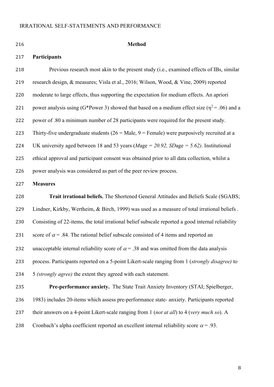| 216 | <b>Method</b>                                                                                      |
|-----|----------------------------------------------------------------------------------------------------|
| 217 | Participants                                                                                       |
| 218 | Previous research most akin to the present study (i.e., examined effects of IBs, similar           |
| 219 | research design, & measures; Visla et al., 2016; Wilson, Wood, & Vine, 2009) reported              |
| 220 | moderate to large effects, thus supporting the expectation for medium effects. An apriori          |
| 221 | power analysis using (G*Power 3) showed that based on a medium effect size ( $\eta^2$ = .06) and a |
| 222 | power of .80 a minimum number of 28 participants were required for the present study.              |
| 223 | Thirty-five undergraduate students ( $26 =$ Male, $9 =$ Female) were purposively recruited at a    |
| 224 | UK university aged between 18 and 53 years (Mage = $20.92$ , SDage = $5.62$ ). Institutional       |
| 225 | ethical approval and participant consent was obtained prior to all data collection, whilst a       |
| 226 | power analysis was considered as part of the peer review process.                                  |
| 227 | <b>Measures</b>                                                                                    |
|     |                                                                                                    |

 **Trait irrational beliefs.** The Shortened General Attitudes and Beliefs Scale (SGABS; Lindner, Kirkby, Wertheim, & Birch, 1999) was used as a measure of total irrational beliefs . Consisting of 22-items, the total irrational belief subscale reported a good internal reliability 231 score of  $\alpha$  = .84. The rational belief subscale consisted of 4 items and reported an 232 unacceptable internal reliability score of  $\alpha$  = .38 and was omitted from the data analysis process. Participants reported on a 5-point Likert-scale ranging from 1 (*strongly disagree)* to 5 *(strongly agree)* the extent they agreed with each statement.

 **Pre-performance anxiety.** The State Trait Anxiety Inventory (STAI; Spielberger, 1983) includes 20-items which assess pre-performance state- anxiety. Participants reported their answers on a 4-point Likert-scale ranging from 1 (*not at all*) to 4 (*very much so*). A 238 Cronbach's alpha coefficient reported an excellent internal reliability score  $\alpha = .93$ .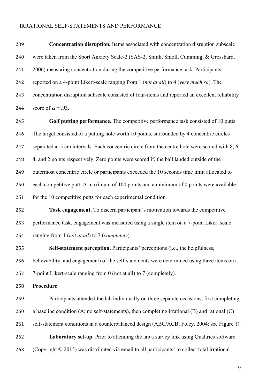**Concentration disruption.** Items associated with concentration disruption subscale were taken from the Sport Anxiety Scale-2 (SAS-2; Smith, Smoll, Cumming, & Grossbard, 2006) measuring concentration during the competitive performance task. Participants reported on a 4-point Likert-scale ranging from 1 (*not at all*) to 4 (*very much so*). The concentration disruption subscale consisted of four-items and reported an excellent reliability 244 score of  $\alpha$  = .93.

 **Golf putting performance***.* The competitive performance task consisted of 10 putts. The target consisted of a putting hole worth 10 points, surrounded by 4 concentric circles 247 separated at 5 cm intervals. Each concentric circle from the centre hole were scored with 8, 6, 4, and 2 points respectively. Zero points were scored if, the ball landed outside of the outermost concentric circle or participants exceeded the 10 seconds time limit allocated to each competitive putt. A maximum of 100 points and a minimum of 0 points were available 251 for the 10 competitive putts for each experimental condition.

 **Task engagement.** To discern participant's motivation towards the competitive performance task, engagement was measured using a single item on a 7-point Likert scale ranging from 1 (*not at all*) to 7 (*completely*).

**Self-statement perception.** Participants' perceptions (i.e., the helpfulness,

believability, and engagement) of the self-statements were determined using three items on a

7-point Likert-scale ranging from 0 (not at all) to 7 (completely).

**Procedure**

 Participants attended the lab individually on three separate occasions, first completing a baseline condition (A; no self-statements), then completing irrational (B) and rational (C)

self-statement conditions in a counterbalanced design (ABC/ACB; Foley, 2004; see Figure 1).

 **Laboratory set-up**. Prior to attending the lab a survey link using Qualtrics software (Copyright © 2015) was distributed via email to all participants' to collect total irrational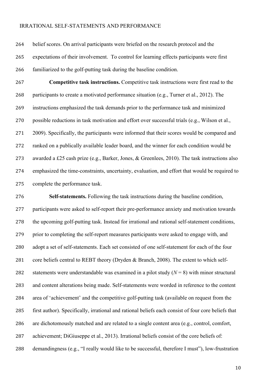belief scores. On arrival participants were briefed on the research protocol and the expectations of their involvement. To control for learning effects participants were first familiarized to the golf-putting task during the baseline condition.

 **Competitive task instructions.** Competitive task instructions were first read to the participants to create a motivated performance situation (e.g., Turner et al., 2012). The instructions emphasized the task demands prior to the performance task and minimized possible reductions in task motivation and effort over successful trials (e.g., Wilson et al., 271 2009). Specifically, the participants were informed that their scores would be compared and ranked on a publically available leader board, and the winner for each condition would be awarded a £25 cash prize (e.g., Barker, Jones, & Greenlees, 2010). The task instructions also emphasized the time-constraints, uncertainty, evaluation, and effort that would be required to complete the performance task.

 **Self-statements.** Following the task instructions during the baseline condition, participants were asked to self-report their pre-performance anxiety and motivation towards the upcoming golf-putting task. Instead for irrational and rational self-statement conditions, prior to completing the self-report measures participants were asked to engage with, and adopt a set of self-statements. Each set consisted of one self-statement for each of the four 281 core beliefs central to REBT theory (Dryden & Branch, 2008). The extent to which self-282 statements were understandable was examined in a pilot study  $(N = 8)$  with minor structural and content alterations being made. Self-statements were worded in reference to the content area of 'achievement' and the competitive golf-putting task (available on request from the first author). Specifically, irrational and rational beliefs each consist of four core beliefs that are dichotomously matched and are related to a single content area (e.g., control, comfort, achievement; DiGiuseppe et al., 2013). Irrational beliefs consist of the core beliefs of: demandingness (e.g., "I really would like to be successful, therefore I must"), low-frustration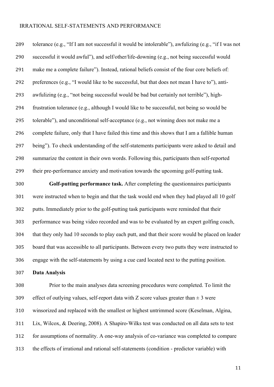tolerance (e.g., "If I am not successful it would be intolerable"), awfulizing (e.g., "if I was not successful it would awful"), and self/other/life-downing (e.g., not being successful would make me a complete failure"). Instead, rational beliefs consist of the four core beliefs of: preferences (e.g., "I would like to be successful, but that does not mean I have to"), anti- awfulizing (e.g., "not being successful would be bad but certainly not terrible"), high- frustration tolerance (e.g., although I would like to be successful, not being so would be tolerable"), and unconditional self-acceptance (e.g., not winning does not make me a complete failure, only that I have failed this time and this shows that I am a fallible human being"). To check understanding of the self-statements participants were asked to detail and summarize the content in their own words. Following this, participants then self-reported their pre-performance anxiety and motivation towards the upcoming golf-putting task.

 **Golf-putting performance task.** After completing the questionnaires participants were instructed when to begin and that the task would end when they had played all 10 golf putts. Immediately prior to the golf-putting task participants were reminded that their performance was being video recorded and was to be evaluated by an expert golfing coach, that they only had 10 seconds to play each putt, and that their score would be placed on leader board that was accessible to all participants. Between every two putts they were instructed to engage with the self-statements by using a cue card located next to the putting position.

**Data Analysis**

 Prior to the main analyses data screening procedures were completed. To limit the 309 effect of outlying values, self-report data with Z score values greater than  $\pm$  3 were winsorized and replaced with the smallest or highest untrimmed score (Keselman, Algina, Lix, Wilcox, & Deering, 2008). A Shapiro-Wilks test was conducted on all data sets to test for assumptions of normality. A one-way analysis of co-variance was completed to compare the effects of irrational and rational self-statements (condition - predictor variable) with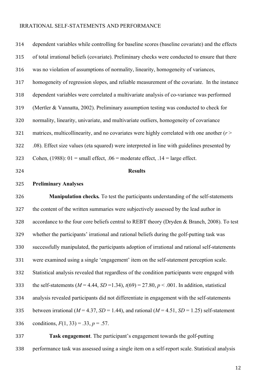| 314 | dependent variables while controlling for baseline scores (baseline covariate) and the effects            |  |  |  |  |  |  |
|-----|-----------------------------------------------------------------------------------------------------------|--|--|--|--|--|--|
| 315 | of total irrational beliefs (covariate). Preliminary checks were conducted to ensure that there           |  |  |  |  |  |  |
| 316 | was no violation of assumptions of normality, linearity, homogeneity of variances,                        |  |  |  |  |  |  |
| 317 | homogeneity of regression slopes, and reliable measurement of the covariate. In the instance              |  |  |  |  |  |  |
| 318 | dependent variables were correlated a multivariate analysis of co-variance was performed                  |  |  |  |  |  |  |
| 319 | (Mertler & Vannatta, 2002). Preliminary assumption testing was conducted to check for                     |  |  |  |  |  |  |
| 320 | normality, linearity, univariate, and multivariate outliers, homogeneity of covariance                    |  |  |  |  |  |  |
| 321 | matrices, multicollinearity, and no covariates were highly correlated with one another $(r >$             |  |  |  |  |  |  |
| 322 | .08). Effect size values (eta squared) were interpreted in line with guidelines presented by              |  |  |  |  |  |  |
| 323 | Cohen, (1988): $01 =$ small effect, $.06 =$ moderate effect, $.14 =$ large effect.                        |  |  |  |  |  |  |
| 324 | <b>Results</b>                                                                                            |  |  |  |  |  |  |
|     |                                                                                                           |  |  |  |  |  |  |
| 325 | <b>Preliminary Analyses</b>                                                                               |  |  |  |  |  |  |
| 326 | Manipulation checks. To test the participants understanding of the self-statements                        |  |  |  |  |  |  |
| 327 | the content of the written summaries were subjectively assessed by the lead author in                     |  |  |  |  |  |  |
| 328 | accordance to the four core beliefs central to REBT theory (Dryden & Branch, 2008). To test               |  |  |  |  |  |  |
| 329 | whether the participants' irrational and rational beliefs during the golf-putting task was                |  |  |  |  |  |  |
| 330 | successfully manipulated, the participants adoption of irrational and rational self-statements            |  |  |  |  |  |  |
| 331 | were examined using a single 'engagement' item on the self-statement perception scale.                    |  |  |  |  |  |  |
| 332 | Statistical analysis revealed that regardless of the condition participants were engaged with             |  |  |  |  |  |  |
| 333 | the self-statements ( $M = 4.44$ , $SD = 1.34$ ), $t(69) = 27.80$ , $p < .001$ . In addition, statistical |  |  |  |  |  |  |
| 334 | analysis revealed participants did not differentiate in engagement with the self-statements               |  |  |  |  |  |  |
| 335 | between irrational ( $M = 4.37$ , $SD = 1.44$ ), and rational ( $M = 4.51$ , $SD = 1.25$ ) self-statement |  |  |  |  |  |  |
| 336 | conditions, $F(1, 33) = .33$ , $p = .57$ .                                                                |  |  |  |  |  |  |

 **Task engagement**. The participant's engagement towards the golf-putting performance task was assessed using a single item on a self-report scale. Statistical analysis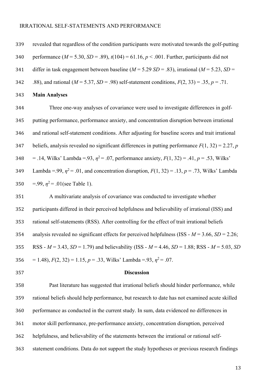revealed that regardless of the condition participants were motivated towards the golf-putting performance (*M* = 5.30, *SD* = .89), *t*(104) = 61.16, *p* < .001. Further, participants did not differ in task engagement between baseline (*M* = 5.29 *SD* = .83), irrational (*M* = 5.23, *SD* = 342 .88), and rational  $(M = 5.37, SD = .98)$  self-statement conditions,  $F(2, 33) = .35, p = .71$ . **Main Analyses** Three one-way analyses of covariance were used to investigate differences in golf- putting performance, performance anxiety, and concentration disruption between irrational and rational self-statement conditions. After adjusting for baseline scores and trait irrational beliefs, analysis revealed no significant differences in putting performance *F*(1, 32) = 2.27, *p* 348 = .14, Wilks' Lambda = .93,  $\eta^2$  = .07, performance anxiety,  $F(1, 32) = .41$ ,  $p = .53$ , Wilks' 149 Lambda = .99,  $\eta^2$  = .01, and concentration disruption,  $F(1, 32)$  = .13,  $p = .73$ , Wilks' Lambda 350 =.99,  $\eta^2$  = .01(see Table 1). A multivariate analysis of covariance was conducted to investigate whether participants differed in their perceived helpfulness and believability of irrational (ISS) and rational self-statements (RSS). After controlling for the effect of trait irrational beliefs analysis revealed no significant effects for perceived helpfulness (ISS - *M* = 3.66, *SD* = 2.26; RSS - *M* = 3.43, *SD* = 1.79) and believability (ISS - *M* = 4.46, *SD* = 1.88; RSS - *M* = 5.03, *SD*  $= 1.48$ ,  $F(2, 32) = 1.15$ ,  $p = .33$ , Wilks' Lambda =.93,  $\eta^2 = .07$ . **Discussion** Past literature has suggested that irrational beliefs should hinder performance, while rational beliefs should help performance, but research to date has not examined acute skilled

motor skill performance, pre-performance anxiety, concentration disruption, perceived

performance as conducted in the current study. In sum, data evidenced no differences in

helpfulness, and believability of the statements between the irrational or rational self-

statement conditions. Data do not support the study hypotheses or previous research findings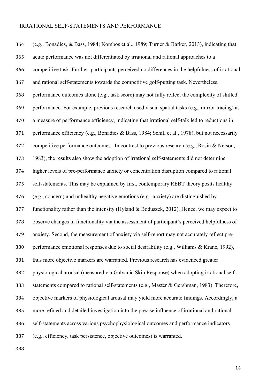(e.g., Bonadies, & Bass, 1984; Kombos et al., 1989; Turner & Barker, 2013), indicating that acute performance was not differentiated by irrational and rational approaches to a competitive task. Further, participants perceived no differences in the helpfulness of irrational and rational self-statements towards the competitive golf-putting task. Nevertheless, performance outcomes alone (e.g., task score) may not fully reflect the complexity of skilled performance. For example, previous research used visual spatial tasks (e.g., mirror tracing) as a measure of performance efficiency, indicating that irrational self-talk led to reductions in performance efficiency (e.g., Bonadies & Bass, 1984; Schill et al., 1978), but not necessarily competitive performance outcomes. In contrast to previous research (e.g., Rosin & Nelson, 1983), the results also show the adoption of irrational self-statements did not determine higher levels of pre-performance anxiety or concentration disruption compared to rational self-statements. This may be explained by first, contemporary REBT theory posits healthy (e.g., concern) and unhealthy negative emotions (e.g., anxiety) are distinguished by functionality rather than the intensity (Hyland & Boduszek, 2012). Hence, we may expect to observe changes in functionality via the assessment of participant's perceived helpfulness of anxiety. Second, the measurement of anxiety via self-report may not accurately reflect pre- performance emotional responses due to social desirability (e.g., Williams & Krane, 1992), thus more objective markers are warranted. Previous research has evidenced greater physiological arousal (measured via Galvanic Skin Response) when adopting irrational self- statements compared to rational self-statements (e.g., Master & Gershman, 1983). Therefore, objective markers of physiological arousal may yield more accurate findings. Accordingly, a more refined and detailed investigation into the precise influence of irrational and rational self-statements across various psychophysiological outcomes and performance indicators (e.g., efficiency, task persistence, objective outcomes) is warranted.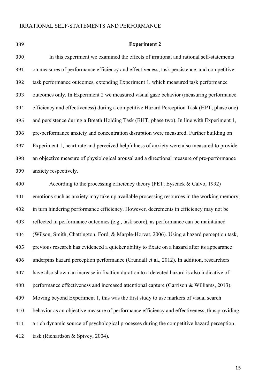**Experiment 2** In this experiment we examined the effects of irrational and rational self-statements on measures of performance efficiency and effectiveness, task persistence, and competitive task performance outcomes, extending Experiment 1, which measured task performance outcomes only. In Experiment 2 we measured visual gaze behavior (measuring performance efficiency and effectiveness) during a competitive Hazard Perception Task (HPT; phase one) and persistence during a Breath Holding Task (BHT; phase two). In line with Experiment 1, pre-performance anxiety and concentration disruption were measured. Further building on Experiment 1, heart rate and perceived helpfulness of anxiety were also measured to provide an objective measure of physiological arousal and a directional measure of pre-performance anxiety respectively. According to the processing efficiency theory (PET; Eysenck & Calvo, 1992) emotions such as anxiety may take up available processing resources in the working memory, in turn hindering performance efficiency. However, decrements in efficiency may not be reflected in performance outcomes (e.g., task score), as performance can be maintained (Wilson, Smith, Chattington, Ford, & Marple-Horvat, 2006). Using a hazard perception task, previous research has evidenced a quicker ability to fixate on a hazard after its appearance underpins hazard perception performance (Crundall et al., 2012). In addition, researchers have also shown an increase in fixation duration to a detected hazard is also indicative of performance effectiveness and increased attentional capture (Garrison & Williams, 2013). Moving beyond Experiment 1, this was the first study to use markers of visual search

behavior as an objective measure of performance efficiency and effectiveness, thus providing

a rich dynamic source of psychological processes during the competitive hazard perception

task (Richardson & Spivey, 2004).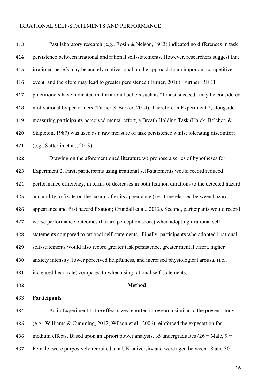| 413 | Past laboratory research (e.g., Rosin & Nelson, 1983) indicated no differences in task          |
|-----|-------------------------------------------------------------------------------------------------|
| 414 | persistence between irrational and rational self-statements. However, researchers suggest that  |
| 415 | irrational beliefs may be acutely motivational on the approach to an important competitive      |
| 416 | event, and therefore may lead to greater persistence (Turner, 2016). Further, REBT              |
| 417 | practitioners have indicated that irrational beliefs such as "I must succeed" may be considered |
| 418 | motivational by performers (Turner & Barker, 2014). Therefore in Experiment 2, alongside        |
| 419 | measuring participants perceived mental effort, a Breath Holding Task (Hajek, Belcher, &        |
| 420 | Stapleton, 1987) was used as a raw measure of task persistence whilst tolerating discomfort     |
| 421 | (e.g., Sütterlin et al., 2013).                                                                 |
| 422 | Drawing on the aforementioned literature we propose a series of hypotheses for                  |
| 423 | Experiment 2. First, participants using irrational self-statements would record reduced         |
| 424 | performance efficiency, in terms of decreases in both fixation durations to the detected hazard |
| 425 | and ability to fixate on the hazard after its appearance (i.e., time elapsed between hazard     |
| 426 | appearance and first hazard fixation; Crundall et al., 2012). Second, participants would record |
| 427 | worse performance outcomes (hazard perception score) when adopting irrational self-             |
| 428 | statements compared to rational self-statements. Finally, participants who adopted irrational   |
| 429 | self-statements would also record greater task persistence, greater mental effort, higher       |
| 430 | anxiety intensity, lower perceived helpfulness, and increased physiological arousal (i.e.,      |
| 431 | increased heart rate) compared to when using rational self-statements.                          |
| 432 | <b>Method</b>                                                                                   |
| 433 | Participants                                                                                    |
| 434 | As in Experiment 1, the effect sizes reported in research similar to the present study          |
| 435 | (e.g., Williams & Cumming, 2012; Wilson et al., 2006) reinforced the expectation for            |

- 436 medium effects. Based upon an apriori power analysis, 35 undergraduates  $(26 = \text{Male}, 9 =$
- Female) were purposively recruited at a UK university and were aged between 18 and 30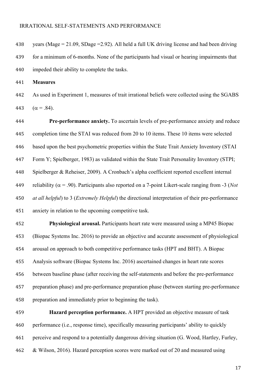438 vears (Mage = 21.09, SDage = 2.92). All held a full UK driving license and had been driving for a minimum of 6-months. None of the participants had visual or hearing impairments that impeded their ability to complete the tasks.

**Measures**

 As used in Experiment 1, measures of trait irrational beliefs were collected using the SGABS 443  $(\alpha = .84)$ .

 **Pre-performance anxiety.** To ascertain levels of pre-performance anxiety and reduce completion time the STAI was reduced from 20 to 10 items. These 10 items were selected based upon the best psychometric properties within the State Trait Anxiety Inventory (STAI Form Y; Spielberger, 1983) as validated within the State Trait Personality Inventory (STPI; Spielberger & Reheiser, 2009). A Cronbach's alpha coefficient reported excellent internal 449 reliability ( $\alpha$  = .90). Participants also reported on a 7-point Likert-scale ranging from -3 (*Not at all helpful*) to 3 (*Extremely Helpful*) the directional interpretation of their pre-performance anxiety in relation to the upcoming competitive task.

 **Physiological arousal.** Participants heart rate were measured using a MP45 Biopac (Biopac Systems Inc. 2016) to provide an objective and accurate assessment of physiological arousal on approach to both competitive performance tasks (HPT and BHT). A Biopac Analysis software (Biopac Systems Inc. 2016) ascertained changes in heart rate scores between baseline phase (after receiving the self-statements and before the pre-performance preparation phase) and pre-performance preparation phase (between starting pre-performance 458 preparation and immediately prior to beginning the task).

 **Hazard perception performance.** A HPT provided an objective measure of task performance (i.e., response time), specifically measuring participants' ability to quickly perceive and respond to a potentially dangerous driving situation (G. Wood, Hartley, Furley, & Wilson, 2016). Hazard perception scores were marked out of 20 and measured using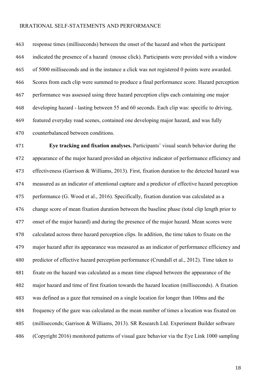response times (milliseconds) between the onset of the hazard and when the participant indicated the presence of a hazard (mouse click). Participants were provided with a window of 5000 milliseconds and in the instance a click was not registered 0 points were awarded. Scores from each clip were summed to produce a final performance score. Hazard perception performance was assessed using three hazard perception clips each containing one major developing hazard - lasting between 55 and 60 seconds. Each clip was: specific to driving, featured everyday road scenes, contained one developing major hazard, and was fully counterbalanced between conditions.

 **Eye tracking and fixation analyses.** Participants' visual search behavior during the appearance of the major hazard provided an objective indicator of performance efficiency and effectiveness (Garrison & Williams, 2013). First, fixation duration to the detected hazard was measured as an indicator of attentional capture and a predictor of effective hazard perception performance (G. Wood et al., 2016). Specifically, fixation duration was calculated as a change score of mean fixation duration between the baseline phase (total clip length prior to onset of the major hazard) and during the presence of the major hazard. Mean scores were calculated across three hazard perception clips. In addition, the time taken to fixate on the major hazard after its appearance was measured as an indicator of performance efficiency and predictor of effective hazard perception performance (Crundall et al., 2012). Time taken to fixate on the hazard was calculated as a mean time elapsed between the appearance of the major hazard and time of first fixation towards the hazard location (milliseconds). A fixation was defined as a gaze that remained on a single location for longer than 100ms and the frequency of the gaze was calculated as the mean number of times a location was fixated on (milliseconds; Garrison & Williams, 2013). SR Research Ltd. Experiment Builder software (Copyright 2016) monitored patterns of visual gaze behavior via the Eye Link 1000 sampling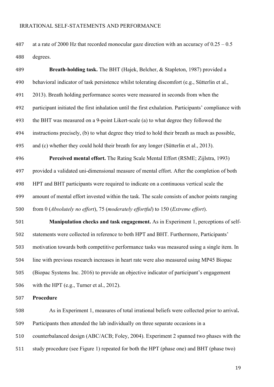487 at a rate of 2000 Hz that recorded monocular gaze direction with an accuracy of  $0.25 - 0.5$ degrees.

 **Breath-holding task.** The BHT (Hajek, Belcher, & Stapleton, 1987) provided a behavioral indicator of task persistence whilst tolerating discomfort (e.g., Sütterlin et al., 2013). Breath holding performance scores were measured in seconds from when the participant initiated the first inhalation until the first exhalation. Participants' compliance with the BHT was measured on a 9-point Likert-scale (a) to what degree they followed the instructions precisely, (b) to what degree they tried to hold their breath as much as possible, and (c) whether they could hold their breath for any longer (Sütterlin et al., 2013). **Perceived mental effort.** The Rating Scale Mental Effort (RSME; Zijlstra, 1993) provided a validated uni-dimensional measure of mental effort. After the completion of both HPT and BHT participants were required to indicate on a continuous vertical scale the amount of mental effort invested within the task. The scale consists of anchor points ranging

from 0 (*Absolutely no effort*), 75 (*moderately effortful*) to 150 (*Extreme effort*).

 **Manipulation checks and task engagement.** As in Experiment 1, perceptions of self- statements were collected in reference to both HPT and BHT. Furthermore, Participants' motivation towards both competitive performance tasks was measured using a single item. In line with previous research increases in heart rate were also measured using MP45 Biopac (Biopac Systems Inc. 2016) to provide an objective indicator of participant's engagement with the HPT (e.g., Turner et al., 2012).

#### **Procedure**

 As in Experiment 1, measures of total irrational beliefs were collected prior to arrival**.** Participants then attended the lab individually on three separate occasions in a counterbalanced design (ABC/ACB; Foley, 2004). Experiment 2 spanned two phases with the study procedure (see Figure 1) repeated for both the HPT (phase one) and BHT (phase two)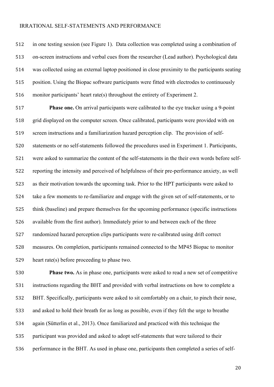in one testing session (see Figure 1). Data collection was completed using a combination of on-screen instructions and verbal cues from the researcher (Lead author). Psychological data was collected using an external laptop positioned in close proximity to the participants seating position. Using the Biopac software participants were fitted with electrodes to continuously monitor participants' heart rate(s) throughout the entirety of Experiment 2.

 **Phase one.** On arrival participants were calibrated to the eye tracker using a 9-point grid displayed on the computer screen. Once calibrated, participants were provided with on screen instructions and a familiarization hazard perception clip. The provision of self- statements or no self-statements followed the procedures used in Experiment 1. Participants, were asked to summarize the content of the self-statements in the their own words before self- reporting the intensity and perceived of helpfulness of their pre-performance anxiety, as well as their motivation towards the upcoming task. Prior to the HPT participants were asked to take a few moments to re-familiarize and engage with the given set of self-statements, or to think (baseline) and prepare themselves for the upcoming performance (specific instructions available from the first author). Immediately prior to and between each of the three randomized hazard perception clips participants were re-calibrated using drift correct measures. On completion, participants remained connected to the MP45 Biopac to monitor heart rate(s) before proceeding to phase two.

 **Phase two.** As in phase one, participants were asked to read a new set of competitive instructions regarding the BHT and provided with verbal instructions on how to complete a BHT. Specifically, participants were asked to sit comfortably on a chair, to pinch their nose, and asked to hold their breath for as long as possible, even if they felt the urge to breathe again (Sütterlin et al., 2013). Once familiarized and practiced with this technique the participant was provided and asked to adopt self-statements that were tailored to their performance in the BHT. As used in phase one, participants then completed a series of self-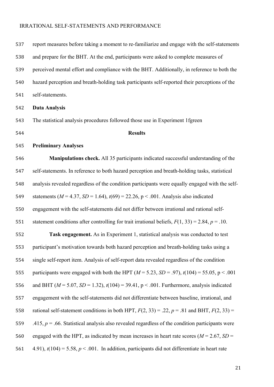| 537 | report measures before taking a moment to re-familiarize and engage with the self-statements          |
|-----|-------------------------------------------------------------------------------------------------------|
| 538 | and prepare for the BHT. At the end, participants were asked to complete measures of                  |
| 539 | perceived mental effort and compliance with the BHT. Additionally, in reference to both the           |
| 540 | hazard perception and breath-holding task participants self-reported their perceptions of the         |
| 541 | self-statements.                                                                                      |
| 542 | <b>Data Analysis</b>                                                                                  |
| 543 | The statistical analysis procedures followed those use in Experiment 1fgreen                          |
| 544 | <b>Results</b>                                                                                        |
| 545 | <b>Preliminary Analyses</b>                                                                           |
| 546 | Manipulations check. All 35 participants indicated successful understanding of the                    |
| 547 | self-statements. In reference to both hazard perception and breath-holding tasks, statistical         |
| 548 | analysis revealed regardless of the condition participants were equally engaged with the self-        |
| 549 | statements ( $M = 4.37$ , $SD = 1.64$ ), $t(69) = 22.26$ , $p < .001$ . Analysis also indicated       |
| 550 | engagement with the self-statements did not differ between irrational and rational self-              |
| 551 | statement conditions after controlling for trait irrational beliefs, $F(1, 33) = 2.84$ , $p = .10$ .  |
| 552 | Task engagement. As in Experiment 1, statistical analysis was conducted to test                       |
| 553 | participant's motivation towards both hazard perception and breath-holding tasks using a              |
| 554 | single self-report item. Analysis of self-report data revealed regardless of the condition            |
| 555 | participants were engaged with both the HPT ( $M = 5.23$ , $SD = .97$ ), $t(104) = 55.05$ , p < .001  |
| 556 | and BHT ( $M = 5.07$ , $SD = 1.32$ ), $t(104) = 39.41$ , $p < .001$ . Furthermore, analysis indicated |
| 557 | engagement with the self-statements did not differentiate between baseline, irrational, and           |
| 558 | rational self-statement conditions in both HPT, $F(2, 33) = .22$ , $p = .81$ and BHT, $F(2, 33) =$    |
| 559 | .415, $p = 0.66$ . Statistical analysis also revealed regardless of the condition participants were   |
| 560 | engaged with the HPT, as indicated by mean increases in heart rate scores ( $M = 2.67$ , SD =         |
| 561 | 4.91), $t(104) = 5.58$ , $p < .001$ . In addition, participants did not differentiate in heart rate   |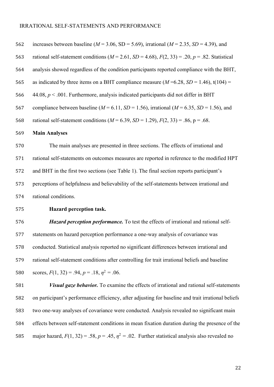| 562 | increases between baseline ( $M = 3.06$ , SD = 5.69), irrational ( $M = 2.35$ , SD = 4.39), and             |
|-----|-------------------------------------------------------------------------------------------------------------|
| 563 | rational self-statement conditions ( $M = 2.61$ , $SD = 4.68$ ), $F(2, 33) = .20$ , $p = .82$ . Statistical |
| 564 | analysis showed regardless of the condition participants reported compliance with the BHT,                  |
| 565 | as indicated by three items on a BHT compliance measure ( $M = 6.28$ , $SD = 1.46$ ), t(104) =              |
| 566 | 44.08, $p < .001$ . Furthermore, analysis indicated participants did not differ in BHT                      |
| 567 | compliance between baseline ( $M = 6.11$ , $SD = 1.56$ ), irrational ( $M = 6.35$ , $SD = 1.56$ ), and      |
| 568 | rational self-statement conditions ( $M = 6.39$ , $SD = 1.29$ ), $F(2, 33) = .86$ , p = .68.                |
| 569 | <b>Main Analyses</b>                                                                                        |
| 570 | The main analyses are presented in three sections. The effects of irrational and                            |
| 571 | rational self-statements on outcomes measures are reported in reference to the modified HPT                 |
| 572 | and BHT in the first two sections (see Table 1). The final section reports participant's                    |
| 573 | perceptions of helpfulness and believability of the self-statements between irrational and                  |
| 574 | rational conditions.                                                                                        |
| 575 | Hazard perception task.                                                                                     |
| 576 | Hazard perception performance. To test the effects of irrational and rational self-                         |
| 577 | statements on hazard perception performance a one-way analysis of covariance was                            |
| 578 | conducted. Statistical analysis reported no significant differences between irrational and                  |
| 579 | rational self-statement conditions after controlling for trait irrational beliefs and baseline              |
| 580 | scores, $F(1, 32) = .94$ , $p = .18$ , $\eta^2 = .06$ .                                                     |
| 581 | Visual gaze behavior. To examine the effects of irrational and rational self-statements                     |
| 582 | on participant's performance efficiency, after adjusting for baseline and trait irrational beliefs          |
| 583 | two one-way analyses of covariance were conducted. Analysis revealed no significant main                    |
| 584 | effects between self-statement conditions in mean fixation duration during the presence of the              |
| 585 | major hazard, $F(1, 32) = .58$ , $p = .45$ , $\eta^2 = .02$ . Further statistical analysis also revealed no |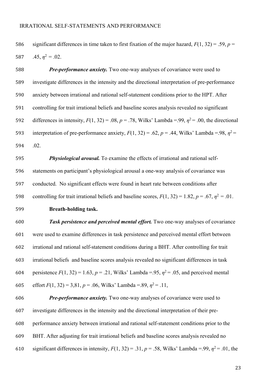586 significant differences in time taken to first fixation of the major hazard,  $F(1, 32) = .59$ ,  $p =$ 587  $.45, \eta^2 = .02$ .

 *Pre-performance anxiety.* Two one-way analyses of covariance were used to investigate differences in the intensity and the directional interpretation of pre-performance anxiety between irrational and rational self-statement conditions prior to the HPT. After controlling for trait irrational beliefs and baseline scores analysis revealed no significant 692 differences in intensity,  $F(1, 32) = .08$ ,  $p = .78$ , Wilks' Lambda =.99,  $\eta^2 = .00$ , the directional interpretation of pre-performance anxiety,  $F(1, 32) = .62$ ,  $p = .44$ , Wilks' Lambda =.98,  $\eta^2$  = .02.

 *Physiological arousal.* To examine the effects of irrational and rational self- statements on participant's physiological arousal a one-way analysis of covariance was conducted. No significant effects were found in heart rate between conditions after 598 controlling for trait irrational beliefs and baseline scores,  $F(1, 32) = 1.82$ ,  $p = .67$ ,  $p^2 = .01$ .

#### **Breath-holding task.**

 *Task persistence and perceived mental effort.* Two one-way analyses of covariance were used to examine differences in task persistence and perceived mental effort between irrational and rational self-statement conditions during a BHT. After controlling for trait irrational beliefs and baseline scores analysis revealed no significant differences in task 604 persistence  $F(1, 32) = 1.63$ ,  $p = .21$ , Wilks' Lambda =.95,  $\eta^2 = .05$ , and perceived mental 605 effort  $F(1, 32) = 3,81, p = .06$ , Wilks' Lambda = .89,  $n^2 = .11$ ,

 *Pre-performance anxiety.* Two one-way analyses of covariance were used to investigate differences in the intensity and the directional interpretation of their pre- performance anxiety between irrational and rational self-statement conditions prior to the BHT. After adjusting for trait irrational beliefs and baseline scores analysis revealed no 610 significant differences in intensity,  $F(1, 32) = .31$ ,  $p = .58$ , Wilks' Lambda = .99,  $\eta^2 = .01$ , the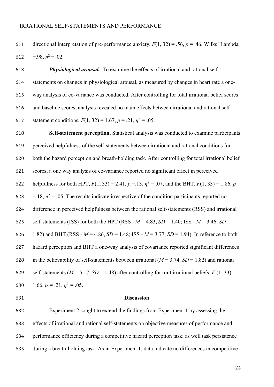directional interpretation of pre-performance anxiety, *F*(1, 32) = .56, *p* = .46, Wilks' Lambda 612 = .98,  $n^2$  = .02.

 *Physiological arousal.* To examine the effects of irrational and rational self- statements on changes in physiological arousal, as measured by changes in heart rate a one- way analysis of co-variance was conducted. After controlling for total irrational belief scores and baseline scores, analysis revealed no main effects between irrational and rational self-617 statement conditions,  $F(1, 32) = 1.67$ ,  $p = .21$ ,  $p^2 = .05$ .

 **Self-statement perception.** Statistical analysis was conducted to examine participants perceived helpfulness of the self-statements between irrational and rational conditions for both the hazard perception and breath-holding task. After controlling for total irrational belief scores, a one way analysis of co-variance reported no significant effect in perceived 622 helpfulness for both HPT,  $F(1, 33) = 2.41$ ,  $p = .13$ ,  $p^2 = .07$ , and the BHT,  $F(1, 33) = 1.86$ , *p*  $=$  -18,  $\eta^2 = 0.05$ . The results indicate irrespective of the condition participants reported no difference in perceived helpfulness between the rational self-statements (RSS) and irrational 625 self-statements (ISS) for both the HPT (RSS -  $M = 4.83$ ,  $SD = 1.40$ ; ISS -  $M = 3.46$ ,  $SD =$ 626 1.82) and BHT (RSS -  $M = 4.86$ ,  $SD = 1.48$ ; ISS -  $M = 3.77$ ,  $SD = 1.94$ ). In reference to both hazard perception and BHT a one-way analysis of covariance reported significant differences 628 in the believability of self-statements between irrational  $(M = 3.74, SD = 1.82)$  and rational 629 self-statements ( $M = 5.17$ ,  $SD = 1.48$ ) after controlling for trait irrational beliefs,  $F(1, 33) =$ 630  $1.66, p = .21, \eta^2 = .05.$ 

#### **Discussion**

 Experiment 2 sought to extend the findings from Experiment 1 by assessing the effects of irrational and rational self-statements on objective measures of performance and performance efficiency during a competitive hazard perception task; as well task persistence during a breath-holding task. As in Experiment 1, data indicate no differences in competitive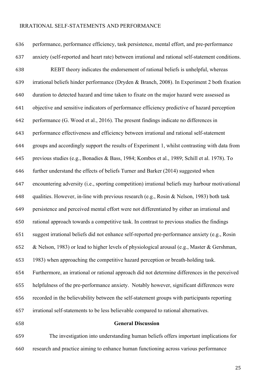performance, performance efficiency, task persistence, mental effort, and pre-performance anxiety (self-reported and heart rate) between irrational and rational self-statement conditions. REBT theory indicates the endorsement of rational beliefs is unhelpful, whereas irrational beliefs hinder performance (Dryden & Branch, 2008). In Experiment 2 both fixation duration to detected hazard and time taken to fixate on the major hazard were assessed as objective and sensitive indicators of performance efficiency predictive of hazard perception performance (G. Wood et al., 2016). The present findings indicate no differences in performance effectiveness and efficiency between irrational and rational self-statement groups and accordingly support the results of Experiment 1, whilst contrasting with data from previous studies (e.g., Bonadies & Bass, 1984; Kombos et al., 1989; Schill et al. 1978). To further understand the effects of beliefs Turner and Barker (2014) suggested when encountering adversity (i.e., sporting competition) irrational beliefs may harbour motivational qualities. However, in-line with previous research (e.g., Rosin & Nelson, 1983) both task persistence and perceived mental effort were not differentiated by either an irrational and rational approach towards a competitive task. In contrast to previous studies the findings suggest irrational beliefs did not enhance self-reported pre-performance anxiety (e.g., Rosin & Nelson, 1983) or lead to higher levels of physiological arousal (e.g., Master & Gershman, 1983) when approaching the competitive hazard perception or breath-holding task. Furthermore, an irrational or rational approach did not determine differences in the perceived helpfulness of the pre-performance anxiety. Notably however, significant differences were recorded in the believability between the self-statement groups with participants reporting irrational self-statements to be less believable compared to rational alternatives. **General Discussion**

 The investigation into understanding human beliefs offers important implications for research and practice aiming to enhance human functioning across various performance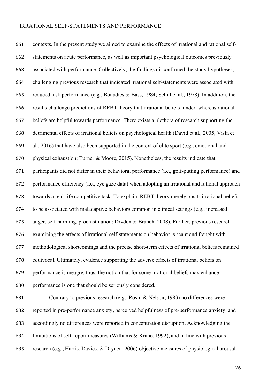contexts. In the present study we aimed to examine the effects of irrational and rational self- statements on acute performance, as well as important psychological outcomes previously associated with performance. Collectively, the findings disconfirmed the study hypotheses, challenging previous research that indicated irrational self-statements were associated with reduced task performance (e.g., Bonadies & Bass, 1984; Schill et al., 1978). In addition, the results challenge predictions of REBT theory that irrational beliefs hinder, whereas rational beliefs are helpful towards performance. There exists a plethora of research supporting the detrimental effects of irrational beliefs on psychological health (David et al., 2005; Visla et al., 2016) that have also been supported in the context of elite sport (e.g., emotional and physical exhaustion; Turner & Moore, 2015). Nonetheless, the results indicate that participants did not differ in their behavioral performance (i.e., golf-putting performance) and performance efficiency (i.e., eye gaze data) when adopting an irrational and rational approach towards a real-life competitive task. To explain, REBT theory merely posits irrational beliefs to be associated with maladaptive behaviors common in clinical settings (e.g., increased anger, self-harming, procrastination; Dryden & Branch, 2008). Further, previous research examining the effects of irrational self-statements on behavior is scant and fraught with methodological shortcomings and the precise short-term effects of irrational beliefs remained equivocal. Ultimately, evidence supporting the adverse effects of irrational beliefs on performance is meagre, thus, the notion that for some irrational beliefs may enhance performance is one that should be seriously considered. Contrary to previous research (e.g., Rosin & Nelson, 1983) no differences were reported in pre-performance anxiety, perceived helpfulness of pre-performance anxiety, and

accordingly no differences were reported in concentration disruption. Acknowledging the

limitations of self-report measures (Williams & Krane, 1992), and in line with previous

research (e.g., Harris, Davies, & Dryden, 2006) objective measures of physiological arousal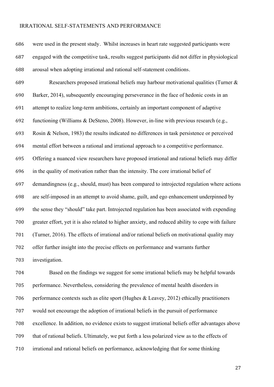were used in the present study. Whilst increases in heart rate suggested participants were engaged with the competitive task, results suggest participants did not differ in physiological arousal when adopting irrational and rational self-statement conditions.

 Researchers proposed irrational beliefs may harbour motivational qualities (Turner & Barker, 2014), subsequently encouraging perseverance in the face of hedonic costs in an attempt to realize long-term ambitions, certainly an important component of adaptive functioning (Williams & DeSteno, 2008). However, in-line with previous research (e.g., Rosin & Nelson, 1983) the results indicated no differences in task persistence or perceived mental effort between a rational and irrational approach to a competitive performance. Offering a nuanced view researchers have proposed irrational and rational beliefs may differ in the quality of motivation rather than the intensity. The core irrational belief of demandingness (e.g., should, must) has been compared to introjected regulation where actions are self-imposed in an attempt to avoid shame, guilt, and ego enhancement underpinned by the sense they "should" take part. Introjected regulation has been associated with expending greater effort, yet it is also related to higher anxiety, and reduced ability to cope with failure (Turner, 2016). The effects of irrational and/or rational beliefs on motivational quality may offer further insight into the precise effects on performance and warrants further investigation.

 Based on the findings we suggest for some irrational beliefs may be helpful towards performance. Nevertheless, considering the prevalence of mental health disorders in performance contexts such as elite sport (Hughes & Leavey, 2012) ethically practitioners would not encourage the adoption of irrational beliefs in the pursuit of performance excellence. In addition, no evidence exists to suggest irrational beliefs offer advantages above that of rational beliefs. Ultimately, we put forth a less polarized view as to the effects of irrational and rational beliefs on performance, acknowledging that for some thinking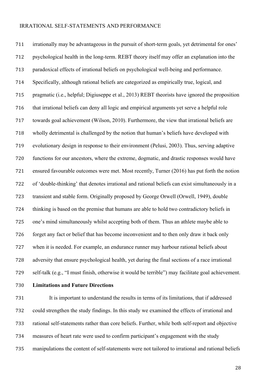irrationally may be advantageous in the pursuit of short-term goals, yet detrimental for ones' psychological health in the long-term. REBT theory itself may offer an explanation into the paradoxical effects of irrational beliefs on psychological well-being and performance. Specifically, although rational beliefs are categorized as empirically true, logical, and pragmatic (i.e., helpful; Digiuseppe et al., 2013) REBT theorists have ignored the proposition that irrational beliefs can deny all logic and empirical arguments yet serve a helpful role towards goal achievement (Wilson, 2010). Furthermore, the view that irrational beliefs are wholly detrimental is challenged by the notion that human's beliefs have developed with evolutionary design in response to their environment (Pelusi, 2003). Thus, serving adaptive functions for our ancestors, where the extreme, dogmatic, and drastic responses would have ensured favourable outcomes were met. Most recently, Turner (2016) has put forth the notion of 'double-thinking' that denotes irrational and rational beliefs can exist simultaneously in a transient and stable form. Originally proposed by George Orwell (Orwell, 1949), double thinking is based on the premise that humans are able to hold two contradictory beliefs in one's mind simultaneously whilst accepting both of them. Thus an athlete maybe able to forget any fact or belief that has become inconvenient and to then only draw it back only when it is needed. For example, an endurance runner may harbour rational beliefs about adversity that ensure psychological health, yet during the final sections of a race irrational self-talk (e.g., "I must finish, otherwise it would be terrible") may facilitate goal achievement.

#### **Limitations and Future Directions**

 It is important to understand the results in terms of its limitations, that if addressed could strengthen the study findings. In this study we examined the effects of irrational and rational self-statements rather than core beliefs. Further, while both self-report and objective measures of heart rate were used to confirm participant's engagement with the study manipulations the content of self-statements were not tailored to irrational and rational beliefs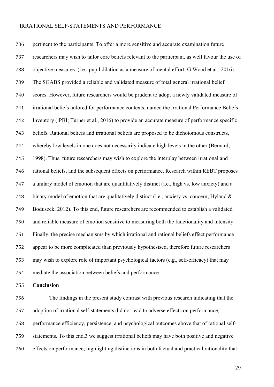pertinent to the participants. To offer a more sensitive and accurate examination future researchers may wish to tailor core beliefs relevant to the participant, as well favour the use of objective measures (i.e., pupil dilation as a measure of mental effort; G.Wood et al., 2016). The SGABS provided a reliable and validated measure of total general irrational belief scores. However, future researchers would be prudent to adopt a newly validated measure of irrational beliefs tailored for performance contexts, named the irrational Performance Beliefs Inventory (iPBI; Turner et al., 2016) to provide an accurate measure of performance specific beliefs. Rational beliefs and irrational beliefs are proposed to be dichotomous constructs, whereby low levels in one does not necessarily indicate high levels in the other (Bernard, 1998). Thus, future researchers may wish to explore the interplay between irrational and rational beliefs, and the subsequent effects on performance. Research within REBT proposes a unitary model of emotion that are quantitatively distinct (i.e., high vs. low anxiety) and a binary model of emotion that are qualitatively distinct (i.e., anxiety vs. concern; Hyland & Boduszek, 2012). To this end, future researchers are recommended to establish a validated and reliable measure of emotion sensitive to measuring both the functionality and intensity. Finally, the precise mechanisms by which irrational and rational beliefs effect performance appear to be more complicated than previously hypothesised, therefore future researchers may wish to explore role of important psychological factors (e.g., self-efficacy) that may mediate the association between beliefs and performance.

**Conclusion**

 The findings in the present study contrast with previous research indicating that the adoption of irrational self-statements did not lead to adverse effects on performance, performance efficiency, persistence, and psychological outcomes above that of rational self- statements. To this end,3 we suggest irrational beliefs may have both positive and negative effects on performance, highlighting distinctions in both factual and practical rationality that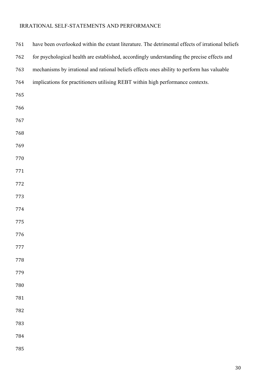| 761 | have been overlooked within the extant literature. The detrimental effects of irrational beliefs |
|-----|--------------------------------------------------------------------------------------------------|
| 762 | for psychological health are established, accordingly understanding the precise effects and      |
| 763 | mechanisms by irrational and rational beliefs effects ones ability to perform has valuable       |
| 764 | implications for practitioners utilising REBT within high performance contexts.                  |
| 765 |                                                                                                  |
| 766 |                                                                                                  |
| 767 |                                                                                                  |
| 768 |                                                                                                  |
| 769 |                                                                                                  |
| 770 |                                                                                                  |
| 771 |                                                                                                  |
| 772 |                                                                                                  |
| 773 |                                                                                                  |
| 774 |                                                                                                  |
| 775 |                                                                                                  |
| 776 |                                                                                                  |
| 777 |                                                                                                  |
| 778 |                                                                                                  |
| 779 |                                                                                                  |
| 780 |                                                                                                  |
| 781 |                                                                                                  |
| 782 |                                                                                                  |
| 783 |                                                                                                  |
| 784 |                                                                                                  |
| 785 |                                                                                                  |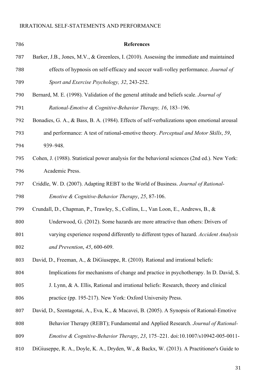| 786 | <b>References</b>                                                                             |
|-----|-----------------------------------------------------------------------------------------------|
| 787 | Barker, J.B., Jones, M.V., & Greenlees, I. (2010). Assessing the immediate and maintained     |
| 788 | effects of hypnosis on self-efficacy and soccer wall-volley performance. Journal of           |
| 789 | Sport and Exercise Psychology, 32, 243-252.                                                   |
| 790 | Bernard, M. E. (1998). Validation of the general attitude and beliefs scale. Journal of       |
| 791 | Rational-Emotive & Cognitive-Behavior Therapy, 16, 183-196.                                   |
| 792 | Bonadies, G. A., & Bass, B. A. (1984). Effects of self-verbalizations upon emotional arousal  |
| 793 | and performance: A test of rational-emotive theory. Perceptual and Motor Skills, 59,          |
| 794 | 939-948.                                                                                      |
| 795 | Cohen, J. (1988). Statistical power analysis for the behavioral sciences (2nd ed.). New York: |
| 796 | Academic Press.                                                                               |
| 797 | Criddle, W. D. (2007). Adapting REBT to the World of Business. Journal of Rational-           |
| 798 | Emotive & Cognitive-Behavior Therapy, 25, 87-106.                                             |
| 799 | Crundall, D., Chapman, P., Trawley, S., Collins, L., Van Loon, E., Andrews, B., &             |
| 800 | Underwood, G. (2012). Some hazards are more attractive than others: Drivers of                |
| 801 | varying experience respond differently to different types of hazard. Accident Analysis        |
| 802 | and Prevention, $45,600-609$ .                                                                |
| 803 | David, D., Freeman, A., & DiGiuseppe, R. (2010). Rational and irrational beliefs:             |
| 804 | Implications for mechanisms of change and practice in psychotherapy. In D. David, S.          |
| 805 | J. Lynn, & A. Ellis, Rational and irrational beliefs: Research, theory and clinical           |
| 806 | practice (pp. 195-217). New York: Oxford University Press.                                    |
| 807 | David, D., Szentagotai, A., Eva, K., & Macavei, B. (2005). A Synopsis of Rational-Emotive     |
| 808 | Behavior Therapy (REBT); Fundamental and Applied Research. Journal of Rational-               |
| 809 | Emotive & Cognitive-Behavior Therapy, 23, 175-221. doi:10.1007/s10942-005-0011-               |
| 810 | DiGiuseppe, R. A., Doyle, K. A., Dryden, W., & Backx, W. (2013). A Practitioner's Guide to    |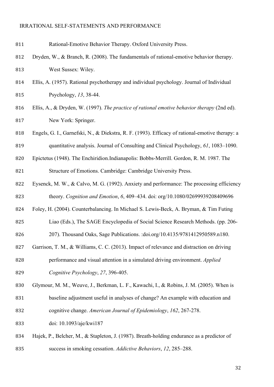| 811 | Rational-Emotive Behavior Therapy. Oxford University Press.                                     |
|-----|-------------------------------------------------------------------------------------------------|
| 812 | Dryden, W., & Branch, R. (2008). The fundamentals of rational-emotive behavior therapy.         |
| 813 | West Sussex: Wiley.                                                                             |
| 814 | Ellis, A. (1957). Rational psychotherapy and individual psychology. Journal of Individual       |
| 815 | Psychology, 13, 38-44.                                                                          |
| 816 | Ellis, A., & Dryden, W. (1997). The practice of rational emotive behavior therapy (2nd ed).     |
| 817 | New York: Springer.                                                                             |
| 818 | Engels, G. I., Garnefski, N., & Diekstra, R. F. (1993). Efficacy of rational-emotive therapy: a |
| 819 | quantitative analysis. Journal of Consulting and Clinical Psychology, 61, 1083–1090.            |
| 820 | Epictetus (1948). The Enchiridion.Indianapolis: Bobbs-Merrill. Gordon, R. M. 1987. The          |
| 821 | Structure of Emotions. Cambridge: Cambridge University Press.                                   |
| 822 | Eysenck, M. W., & Calvo, M. G. (1992). Anxiety and performance: The processing efficiency       |
| 823 | theory. Cognition and Emotion, 6, 409-434. doi: org/10.1080/02699939208409696                   |
| 824 | Foley, H. (2004). Counterbalancing. In Michael S. Lewis-Beck, A. Bryman, & Tim Futing           |
| 825 | Liao (Eds.), The SAGE Encyclopedia of Social Science Research Methods. (pp. 206-                |
| 826 | 207). Thousand Oaks, Sage Publications. : doi.org/10.4135/9781412950589.n180.                   |
| 827 | Garrison, T. M., & Williams, C. C. (2013). Impact of relevance and distraction on driving       |
| 828 | performance and visual attention in a simulated driving environment. Applied                    |
| 829 | Cognitive Psychology, 27, 396-405.                                                              |
| 830 | Glymour, M. M., Weuve, J., Berkman, L. F., Kawachi, I., & Robins, J. M. (2005). When is         |
| 831 | baseline adjustment useful in analyses of change? An example with education and                 |
| 832 | cognitive change. American Journal of Epidemiology, 162, 267-278.                               |
| 833 | doi: 10.1093/aje/kwi187                                                                         |
| 834 | Hajek, P., Belcher, M., & Stapleton, J. (1987). Breath-holding endurance as a predictor of      |
| 835 | success in smoking cessation. Addictive Behaviors, 12, 285–288.                                 |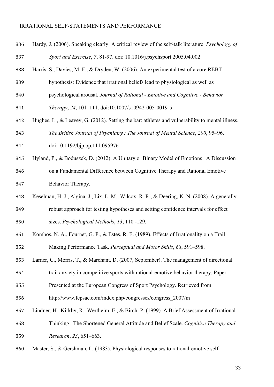| 836 | Hardy, J. (2006). Speaking clearly: A critical review of the self-talk literature. Psychology of |
|-----|--------------------------------------------------------------------------------------------------|
| 837 | Sport and Exercise, 7, 81-97. doi: 10.1016/j.psychsport.2005.04.002                              |
| 838 | Harris, S., Davies, M. F., & Dryden, W. (2006). An experimental test of a core REBT              |
| 839 | hypothesis: Evidence that irrational beliefs lead to physiological as well as                    |
| 840 | psychological arousal. Journal of Rational - Emotive and Cognitive - Behavior                    |
| 841 | Therapy, 24, 101-111. doi:10.1007/s10942-005-0019-5                                              |
| 842 | Hughes, L., & Leavey, G. (2012). Setting the bar: athletes and vulnerability to mental illness.  |
| 843 | The British Journal of Psychiatry: The Journal of Mental Science, 200, 95-96.                    |
| 844 | doi:10.1192/bjp.bp.111.095976                                                                    |
| 845 | Hyland, P., & Boduszek, D. (2012). A Unitary or Binary Model of Emotions: A Discussion           |
| 846 | on a Fundamental Difference between Cognitive Therapy and Rational Emotive                       |
| 847 | Behavior Therapy.                                                                                |
| 848 | Keselman, H. J., Algina, J., Lix, L. M., Wilcox, R. R., & Deering, K. N. (2008). A generally     |
| 849 | robust approach for testing hypotheses and setting confidence intervals for effect               |
| 850 | sizes. Psychological Methods, 13, 110 -129.                                                      |
| 851 | Kombos, N. A., Fournet, G. P., & Estes, R. E. (1989). Effects of Irrationality on a Trail        |
| 852 | Making Performance Task. Perceptual and Motor Skills, 68, 591–598.                               |
| 853 | Larner, C., Morris, T., & Marchant, D. (2007, September). The management of directional          |
| 854 | trait anxiety in competitive sports with rational-emotive behavior therapy. Paper                |
| 855 | Presented at the European Congress of Sport Psychology. Retrieved from                           |
| 856 | http://www.fepsac.com/index.php/congresses/congress 2007/m                                       |
| 857 | Lindner, H., Kirkby, R., Wertheim, E., & Birch, P. (1999). A Brief Assessment of Irrational      |
| 858 | Thinking: The Shortened General Attitude and Belief Scale. Cognitive Therapy and                 |
| 859 | Research, 23, 651–663.                                                                           |
| 860 | Master, S., & Gershman, L. (1983). Physiological responses to rational-emotive self-             |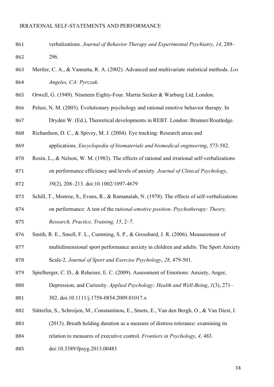- verbalizations. *Journal of Behavior Therapy and Experimental Psychiatry*, *14*, 289– 296.
- Mertler, C. A., & Vannatta, R. A. (2002). Advanced and multivariate statistical methods. *Los Angeles, CA: Pyrczak*.
- Orwell, G. (1949). Nineteen Eighty-Four. Martin Secker & Warburg Ltd, London.
- Pelusi, N. M. (2003). Evolutionary psychology and rational emotive behavior therapy. In
- Dryden W. (Ed.), Theoretical developments in REBT. London: Brunner/Routledge.
- Richardson, D. C., & Spivey, M. J. (2004). Eye tracking: Research areas and
- applications. *Encyclopedia of biomaterials and biomedical engineering*, 573-582.
- Rosin, L., & Nelson, W. M. (1983). The effects of rational and irrational self-verbalizations
- on performance efficiency and levels of anxiety. *Journal of Clinical Psychology*, *39*(2), 208–213. doi:10.1002/1097-4679
- Schill, T., Monroe, S., Evans, R., & Ramanaiah, N. (1978). The effects of self-verbalizations
- on performance: A test of the ra*tional-emotive position. Psychotherapy: Theory,*
- *Research, Practice, Training, 15*, 2–7.
- Smith, R. E., Smoll, F. L., Cumming, S. P., & Grossbard, J. R. (2006). Measurement of
- multidimensional sport performance anxiety in children and adults: The Sport Anxiety Scale-2. *Journal of Sport and Exercise Psychology*, *28*, 479-501.
- Spielberger, C. D., & Reheiser, E. C. (2009). Assessment of Emotions: Anxiety, Anger,
- Depression, and Curiosity. *Applied Psychology: Health and Well-Being*, *1*(3), 271–
- 881 302. doi:10.1111/j.1758-0854.2009.01017.x
- Sütterlin, S., Schroijen, M., Constantinou, E., Smets, E., Van den Bergh, O., & Van Diest, I.
- (2013). Breath holding duration as a measure of distress tolerance: examining its
- relation to measures of executive control. *Frontiers in Psychology*, *4*, 483.
- doi:10.3389/fpsyg.2013.00483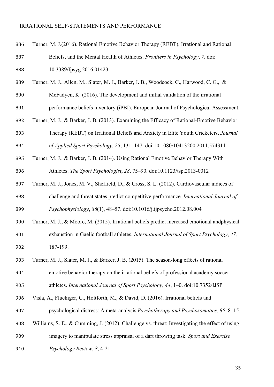Turner, M. J.(2016). Rational Emotive Behavior Therapy (REBT), Irrational and Rational Beliefs, and the Mental Health of Athletes. *Frontiers in Psychology*, *7*. doi: 10.3389/fpsyg.2016.01423 Turner, M. J., Allen, M., Slater, M. J., Barker, J. B., Woodcock, C., Harwood, C. G., & McFadyen, K. (2016). The development and initial validation of the irrational performance beliefs inventory (iPBI). European Journal of Psychological Assessment. Turner, M. J., & Barker, J. B. (2013). Examining the Efficacy of Rational-Emotive Behavior Therapy (REBT) on Irrational Beliefs and Anxiety in Elite Youth Cricketers. *Journal of Applied Sport Psychology*, *25*, 131–147. doi:10.1080/10413200.2011.574311 Turner, M. J., & Barker, J. B. (2014). Using Rational Emotive Behavior Therapy With Athletes. *The Sport Psychologist*, *28*, 75–90. doi:10.1123/tsp.2013-0012 Turner, M. J., Jones, M. V., Sheffield, D., & Cross, S. L. (2012). Cardiovascular indices of challenge and threat states predict competitive performance. *International Journal of Psychophysiology*, *86*(1), 48–57. doi:10.1016/j.ijpsycho.2012.08.004 Turner, M. J., & Moore, M. (2015). Irrational beliefs predict increased emotional andphysical exhaustion in Gaelic football athletes. *International Journal of Sport Psychology*, *47,* 187-199. Turner, M. J., Slater, M. J., & Barker, J. B. (2015). The season-long effects of rational emotive behavior therapy on the irrational beliefs of professional academy soccer athletes. *International Journal of Sport Psychology*, *44*, 1–0. doi:10.7352/IJSP Visla, A., Fluckiger, C., Holtforth, M., & David, D. (2016). Irrational beliefs and psychological distress: A meta-analysis*.Psychotherapy and Psychosomatics*, *85*, 8–15. Williams, S. E., & Cumming, J. (2012). Challenge vs. threat: Investigating the effect of using imagery to manipulate stress appraisal of a dart throwing task. *Sport and Exercise Psychology Review*, *8*, 4-21.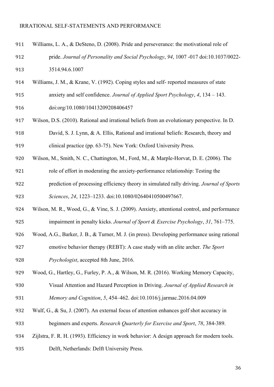| 911 | Williams, L. A., & DeSteno, D. (2008). Pride and perseverance: the motivational role of      |
|-----|----------------------------------------------------------------------------------------------|
| 912 | pride. Journal of Personality and Social Psychology, 94, 1007 -017 doi:10.1037/0022-         |
| 913 | 3514.94.6.1007                                                                               |
| 914 | Williams, J. M., & Krane, V. (1992). Coping styles and self- reported measures of state      |
| 915 | anxiety and self confidence. Journal of Applied Sport Psychology, 4, 134 - 143.              |
| 916 | doi:org/10.1080/10413209208406457                                                            |
| 917 | Wilson, D.S. (2010). Rational and irrational beliefs from an evolutionary perspective. In D. |
| 918 | David, S. J. Lynn, & A. Ellis, Rational and irrational beliefs: Research, theory and         |
| 919 | clinical practice (pp. 63-75). New York: Oxford University Press.                            |
| 920 | Wilson, M., Smith, N. C., Chattington, M., Ford, M., & Marple-Horvat, D. E. (2006). The      |
| 921 | role of effort in moderating the anxiety-performance relationship: Testing the               |
| 922 | prediction of processing efficiency theory in simulated rally driving. Journal of Sports     |
| 923 | Sciences, 24, 1223-1233. doi:10.1080/02640410500497667.                                      |
| 924 | Wilson, M. R., Wood, G., & Vine, S. J. (2009). Anxiety, attentional control, and performance |
| 925 | impairment in penalty kicks. Journal of Sport & Exercise Psychology, 31, 761-775.            |
| 926 | Wood, A.G., Barker, J. B., & Turner, M. J. (in press). Developing performance using rational |
| 927 | emotive behavior therapy (REBT): A case study with an elite archer. The Sport                |
| 928 | Psychologist, accepted 8th June, 2016.                                                       |
| 929 | Wood, G., Hartley, G., Furley, P. A., & Wilson, M. R. (2016). Working Memory Capacity,       |
| 930 | Visual Attention and Hazard Perception in Driving. Journal of Applied Research in            |
| 931 | Memory and Cognition, 5, 454-462. doi:10.1016/j.jarmac.2016.04.009                           |
| 932 | Wulf, G., & Su, J. (2007). An external focus of attention enhances golf shot accuracy in     |
| 933 | beginners and experts. Research Quarterly for Exercise and Sport, 78, 384-389.               |
| 934 | Zijlstra, F. R. H. (1993). Efficiency in work behavior: A design approach for modern tools.  |
| 935 | Delft, Netherlands: Delft University Press.                                                  |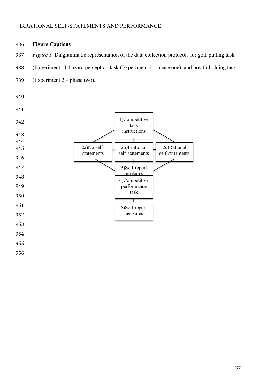936 **Figure Captions**

956

#### 937 *Figure 1.* Diagrammatic representation of the data collection protocols for golf-putting task 938 (Experiment 1), hazard perception task (Experiment 2 – phase one), and breath-holding task 939 (Experiment 2 – phase two). 940 941 942 943 944 945 946 947 948 949 950 951 952 953 954 955 1)Competitive task instructions 2b)Irrational self-statements 2a)No selfstatements 2c)Rational self-statements 3)Self-report <u>measures</u> 4)Competitive performance task 5)Self-report measures